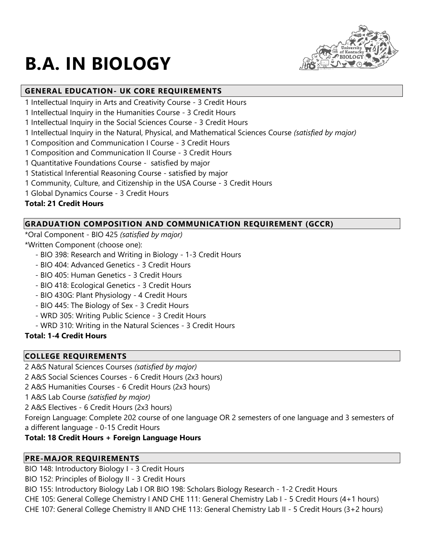

# **B.A. IN BIOLOGY**

# **GENERAL EDUCATION- UK CORE REQUIREMENTS**

- 1 Intellectual Inquiry in Arts and Creativity Course 3 Credit Hours
- 1 Intellectual Inquiry in the Humanities Course 3 Credit Hours
- 1 Intellectual Inquiry in the Social Sciences Course 3 Credit Hours
- 1 Intellectual Inquiry in the Natural, Physical, and Mathematical Sciences Course *(satisfied by major)*
- 1 Composition and Communication I Course 3 Credit Hours
- 1 Composition and Communication II Course 3 Credit Hours
- 1 Quantitative Foundations Course satisfied by major
- 1 Statistical Inferential Reasoning Course satisfied by major
- 1 Community, Culture, and Citizenship in the USA Course 3 Credit Hours
- 1 Global Dynamics Course 3 Credit Hours

# **Total: 21 Credit Hours**

# **GRADUATION COMPOSITION AND COMMUNICATION REQUIREMENT (GCCR)**

\*Oral Component - BIO 425 *(satisfied by major)* \*Written Component (choose one):

- BIO 398: Research and Writing in Biology 1-3 Credit Hours
- BIO 404: Advanced Genetics 3 Credit Hours
- BIO 405: Human Genetics 3 Credit Hours
- BIO 418: Ecological Genetics 3 Credit Hours
- BIO 430G: Plant Physiology 4 Credit Hours
- BIO 445: The Biology of Sex 3 Credit Hours
- WRD 305: Writing Public Science 3 Credit Hours
- WRD 310: Writing in the Natural Sciences 3 Credit Hours

# **Total: 1-4 Credit Hours**

# **COLLEGE REQUIREMENTS**

2 A&S Natural Sciences Courses *(satisfied by major)*

2 A&S Social Sciences Courses - 6 Credit Hours (2x3 hours)

2 A&S Humanities Courses - 6 Credit Hours (2x3 hours)

1 A&S Lab Course *(satisfied by major)*

2 A&S Electives - 6 Credit Hours (2x3 hours)

Foreign Language: Complete 202 course of one language OR 2 semesters of one language and 3 semesters of a different language - 0-15 Credit Hours

# **Total: 18 Credit Hours + Foreign Language Hours**

# **PRE-MAJOR REQUIREMENTS**

BIO 148: Introductory Biology I - 3 Credit Hours

BIO 152: Principles of Biology II - 3 Credit Hours

BIO 155: Introductory Biology Lab I OR BIO 198: Scholars Biology Research - 1-2 Credit Hours

CHE 105: General College Chemistry I AND CHE 111: General Chemistry Lab I - 5 Credit Hours (4+1 hours)

CHE 107: General College Chemistry II AND CHE 113: General Chemistry Lab II - 5 Credit Hours (3+2 hours)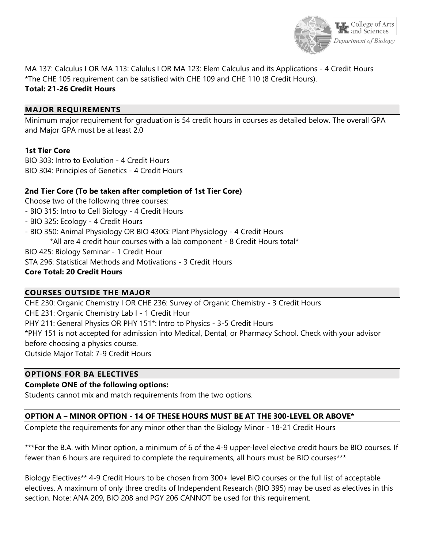

MA 137: Calculus I OR MA 113: Calulus I OR MA 123: Elem Calculus and its Applications - 4 Credit Hours \*The CHE 105 requirement can be satisfied with CHE 109 and CHE 110 (8 Credit Hours).

## **Total: 21-26 Credit Hours**

#### **MAJOR REQUIREMENTS**

Minimum major requirement for graduation is 54 credit hours in courses as detailed below. The overall GPA and Major GPA must be at least 2.0

#### **1st Tier Core**

BIO 303: Intro to Evolution - 4 Credit Hours BIO 304: Principles of Genetics - 4 Credit Hours

#### **2nd Tier Core (To be taken after completion of 1st Tier Core)**

Choose two of the following three courses:

- BIO 315: Intro to Cell Biology 4 Credit Hours
- BIO 325: Ecology 4 Credit Hours
- BIO 350: Animal Physiology OR BIO 430G: Plant Physiology 4 Credit Hours
	- \*All are 4 credit hour courses with a lab component 8 Credit Hours total\*

BIO 425: Biology Seminar - 1 Credit Hour

STA 296: Statistical Methods and Motivations - 3 Credit Hours

#### **Core Total: 20 Credit Hours**

#### **COURSES OUTSIDE THE MAJOR**

CHE 230: Organic Chemistry I OR CHE 236: Survey of Organic Chemistry - 3 Credit Hours CHE 231: Organic Chemistry Lab I - 1 Credit Hour PHY 211: General Physics OR PHY 151\*: Intro to Physics - 3-5 Credit Hours \*PHY 151 is not accepted for admission into Medical, Dental, or Pharmacy School. Check with your advisor before choosing a physics course. Outside Major Total: 7-9 Credit Hours

#### **OPTIONS FOR BA ELECTIVES**

### **Complete ONE of the following options:**

Students cannot mix and match requirements from the two options.

#### **OPTION A – MINOR OPTION - 14 OF THESE HOURS MUST BE AT THE 300-LEVEL OR ABOVE\***

Complete the requirements for any minor other than the Biology Minor - 18-21 Credit Hours

\*\*\*For the B.A. with Minor option, a minimum of 6 of the 4-9 upper-level elective credit hours be BIO courses. If fewer than 6 hours are required to complete the requirements, all hours must be BIO courses\*\*\*

Biology Electives\*\* 4-9 Credit Hours to be chosen from 300+ level BIO courses or the full list of acceptable electives. A maximum of only three credits of Independent Research (BIO 395) may be used as electives in this section. Note: ANA 209, BIO 208 and PGY 206 CANNOT be used for this requirement.